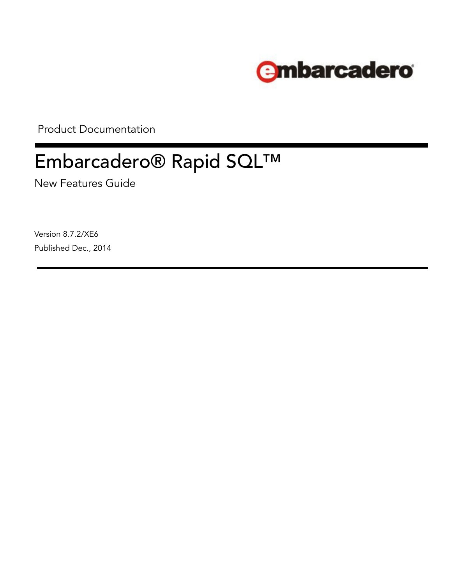

Product Documentation

# Embarcadero® Rapid SQL™

New Features Guide

Version 8.7.2/XE6 Published Dec., 2014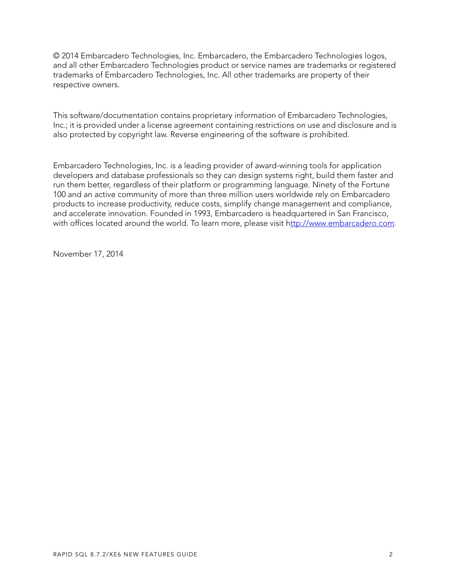© 2014 Embarcadero Technologies, Inc. Embarcadero, the Embarcadero Technologies logos, and all other Embarcadero Technologies product or service names are trademarks or registered trademarks of Embarcadero Technologies, Inc. All other trademarks are property of their respective owners.

This software/documentation contains proprietary information of Embarcadero Technologies, Inc.; it is provided under a license agreement containing restrictions on use and disclosure and is also protected by copyright law. Reverse engineering of the software is prohibited.

Embarcadero Technologies, Inc. is a leading provider of award-winning tools for application developers and database professionals so they can design systems right, build them faster and run them better, regardless of their platform or programming language. Ninety of the Fortune 100 and an active community of more than three million users worldwide rely on Embarcadero products to increase productivity, reduce costs, simplify change management and compliance, and accelerate innovation. Founded in 1993, Embarcadero is headquartered in San Francisco, with offices located around the world. To learn more, please visit h[ttp://www.embarcadero.com](http://www.embarcadero.com).

November 17, 2014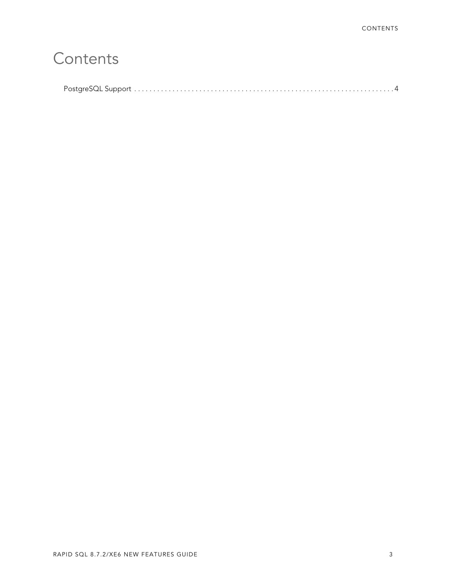## **[Contents](#page-3-0)**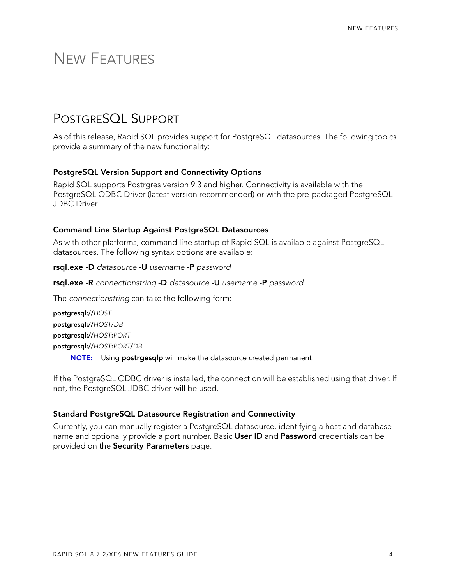### <span id="page-3-0"></span>NEW FEATURES

### <span id="page-3-1"></span>POSTGRESQL SUPPORT

As of this release, Rapid SQL provides support for PostgreSQL datasources. The following topics provide a summary of the new functionality:

#### **PostgreSQL Version Support and Connectivity Options**

Rapid SQL supports Postrgres version 9.3 and higher. Connectivity is available with the PostgreSQL ODBC Driver (latest version recommended) or with the pre-packaged PostgreSQL JDBC Driver.

#### **Command Line Startup Against PostgreSQL Datasources**

As with other platforms, command line startup of Rapid SQL is available against PostgreSQL datasources. The following syntax options are available:

- **rsql.exe -D** *datasource* **-U** *username* **-P** *password*
- **rsql.exe -R** *connectionstring* **-D** *datasource* **-U** *username* **-P** *password*

The *connectionstring* can take the following form:

**postgresql://***HOST* **postgresql://***HOST*/*DB* **postgresql://***HOST***:***PORT* **postgresql://***HOST***:***PORT***/***DB* **NOTE:** Using **postrgesqlp** will make the datasource created permanent.

If the PostgreSQL ODBC driver is installed, the connection will be established using that driver. If not, the PostgreSQL JDBC driver will be used.

#### **Standard PostgreSQL Datasource Registration and Connectivity**

Currently, you can manually register a PostgreSQL datasource, identifying a host and database name and optionally provide a port number. Basic **User ID** and **Password** credentials can be provided on the **Security Parameters** page.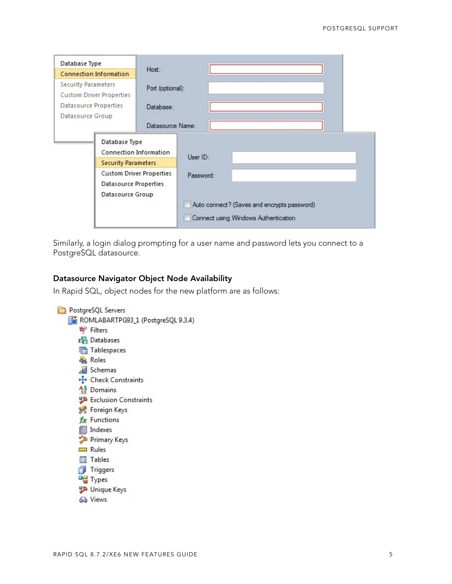| Database Type                                                                                                                     |                                      | Host:                                       |           |  |  |  |  |
|-----------------------------------------------------------------------------------------------------------------------------------|--------------------------------------|---------------------------------------------|-----------|--|--|--|--|
| <b>Connection Information</b>                                                                                                     |                                      |                                             |           |  |  |  |  |
| <b>Security Parameters</b><br><b>Custom Driver Properties</b>                                                                     |                                      | Port (optional):                            |           |  |  |  |  |
| Datasource Properties<br>Datasource Group                                                                                         |                                      | Database:                                   |           |  |  |  |  |
|                                                                                                                                   |                                      | Datasource Name:                            |           |  |  |  |  |
| Database Type<br>Connection Information<br><b>Security Parameters</b><br><b>Custom Driver Properties</b><br>Datasource Properties |                                      |                                             |           |  |  |  |  |
|                                                                                                                                   |                                      |                                             | User ID:  |  |  |  |  |
|                                                                                                                                   |                                      |                                             |           |  |  |  |  |
|                                                                                                                                   |                                      |                                             | Password: |  |  |  |  |
|                                                                                                                                   |                                      |                                             |           |  |  |  |  |
|                                                                                                                                   | Datasource Group                     |                                             |           |  |  |  |  |
|                                                                                                                                   |                                      | Auto connect? (Saves and encrypts password) |           |  |  |  |  |
|                                                                                                                                   | Connect using Windows Authentication |                                             |           |  |  |  |  |

Similarly, a login dialog prompting for a user name and password lets you connect to a PostgreSQL datasource.

#### **Datasource Navigator Object Node Availability**

In Rapid SQL, object nodes for the new platform are as follows: